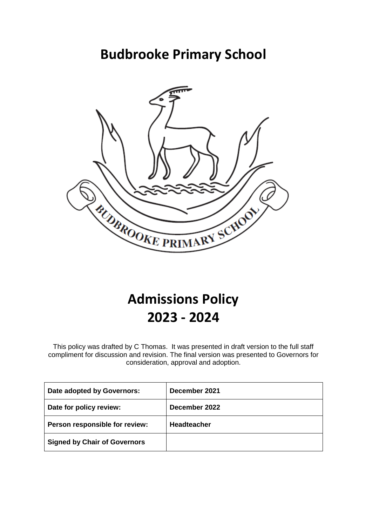# **Budbrooke Primary School**



# **Admissions Policy 2023 - 2024**

This policy was drafted by C Thomas. It was presented in draft version to the full staff compliment for discussion and revision. The final version was presented to Governors for consideration, approval and adoption.

| Date adopted by Governors:          | December 2021      |
|-------------------------------------|--------------------|
| Date for policy review:             | December 2022      |
| Person responsible for review:      | <b>Headteacher</b> |
| <b>Signed by Chair of Governors</b> |                    |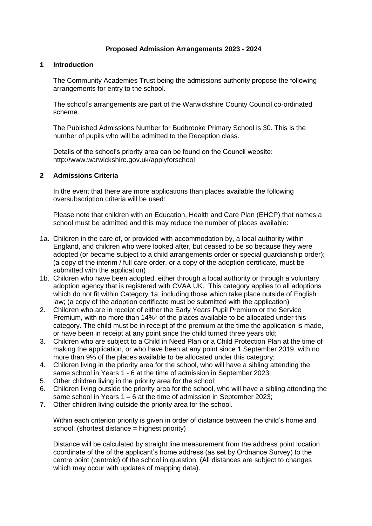# **Proposed Admission Arrangements 2023 - 2024**

## **1 Introduction**

The Community Academies Trust being the admissions authority propose the following arrangements for entry to the school.

The school's arrangements are part of the Warwickshire County Council co-ordinated scheme.

The Published Admissions Number for Budbrooke Primary School is 30. This is the number of pupils who will be admitted to the Reception class.

Details of the school's priority area can be found on the Council website: http://www.warwickshire.gov.uk/applyforschool

#### **2 Admissions Criteria**

In the event that there are more applications than places available the following oversubscription criteria will be used:

Please note that children with an Education, Health and Care Plan (EHCP) that names a school must be admitted and this may reduce the number of places available:

- 1a. Children in the care of, or provided with accommodation by, a local authority within England, and children who were looked after, but ceased to be so because they were adopted (or became subject to a child arrangements order or special guardianship order); (a copy of the interim / full care order, or a copy of the adoption certificate, must be submitted with the application)
- 1b. Children who have been adopted, either through a local authority or through a voluntary adoption agency that is registered with CVAA UK. This category applies to all adoptions which do not fit within Category 1a, including those which take place outside of English law; (a copy of the adoption certificate must be submitted with the application)
- 2. Children who are in receipt of either the Early Years Pupil Premium or the Service Premium, with no more than 14%\* of the places available to be allocated under this category. The child must be in receipt of the premium at the time the application is made, or have been in receipt at any point since the child turned three years old;
- 3. Children who are subject to a Child in Need Plan or a Child Protection Plan at the time of making the application, or who have been at any point since 1 September 2019, with no more than 9% of the places available to be allocated under this category;
- 4. Children living in the priority area for the school, who will have a sibling attending the same school in Years 1 - 6 at the time of admission in September 2023;
- 5. Other children living in the priority area for the school;
- 6. Children living outside the priority area for the school, who will have a sibling attending the same school in Years 1 – 6 at the time of admission in September 2023;
- 7. Other children living outside the priority area for the school.

Within each criterion priority is given in order of distance between the child's home and school. (shortest distance = highest priority)

Distance will be calculated by straight line measurement from the address point location coordinate of the of the applicant's home address (as set by Ordnance Survey) to the centre point (centroid) of the school in question. (All distances are subject to changes which may occur with updates of mapping data).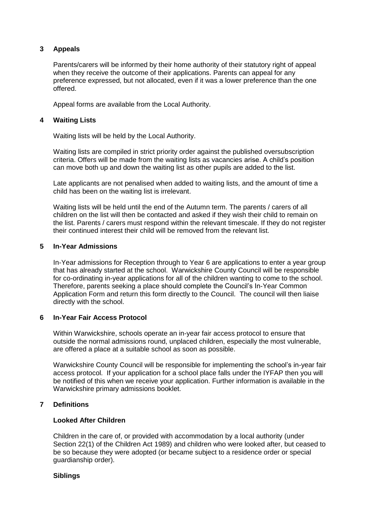# **3 Appeals**

Parents/carers will be informed by their home authority of their statutory right of appeal when they receive the outcome of their applications. Parents can appeal for any preference expressed, but not allocated, even if it was a lower preference than the one offered.

Appeal forms are available from the Local Authority.

## **4 Waiting Lists**

Waiting lists will be held by the Local Authority.

Waiting lists are compiled in strict priority order against the published oversubscription criteria. Offers will be made from the waiting lists as vacancies arise. A child's position can move both up and down the waiting list as other pupils are added to the list.

Late applicants are not penalised when added to waiting lists, and the amount of time a child has been on the waiting list is irrelevant.

Waiting lists will be held until the end of the Autumn term. The parents / carers of all children on the list will then be contacted and asked if they wish their child to remain on the list. Parents / carers must respond within the relevant timescale. If they do not register their continued interest their child will be removed from the relevant list.

#### **5 In-Year Admissions**

In-Year admissions for Reception through to Year 6 are applications to enter a year group that has already started at the school. Warwickshire County Council will be responsible for co-ordinating in-year applications for all of the children wanting to come to the school. Therefore, parents seeking a place should complete the Council's In-Year Common Application Form and return this form directly to the Council. The council will then liaise directly with the school.

# **6 In-Year Fair Access Protocol**

Within Warwickshire, schools operate an in-year fair access protocol to ensure that outside the normal admissions round, unplaced children, especially the most vulnerable, are offered a place at a suitable school as soon as possible.

Warwickshire County Council will be responsible for implementing the school's in-year fair access protocol. If your application for a school place falls under the IYFAP then you will be notified of this when we receive your application. Further information is available in the Warwickshire primary admissions booklet.

# **7 Definitions**

#### **Looked After Children**

Children in the care of, or provided with accommodation by a local authority (under Section 22(1) of the Children Act 1989) and children who were looked after, but ceased to be so because they were adopted (or became subject to a residence order or special guardianship order).

#### **Siblings**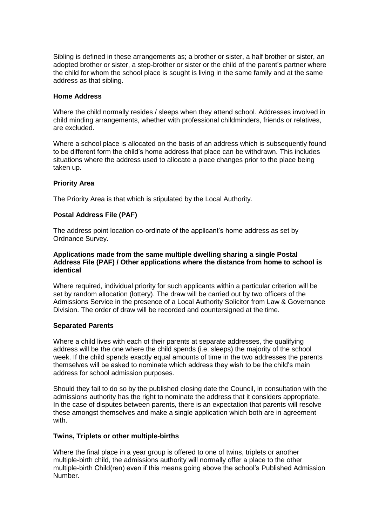Sibling is defined in these arrangements as; a brother or sister, a half brother or sister, an adopted brother or sister, a step-brother or sister or the child of the parent's partner where the child for whom the school place is sought is living in the same family and at the same address as that sibling.

## **Home Address**

Where the child normally resides / sleeps when they attend school. Addresses involved in child minding arrangements, whether with professional childminders, friends or relatives, are excluded.

Where a school place is allocated on the basis of an address which is subsequently found to be different form the child's home address that place can be withdrawn. This includes situations where the address used to allocate a place changes prior to the place being taken up.

# **Priority Area**

The Priority Area is that which is stipulated by the Local Authority.

#### **Postal Address File (PAF)**

The address point location co-ordinate of the applicant's home address as set by Ordnance Survey.

#### **Applications made from the same multiple dwelling sharing a single Postal Address File (PAF) / Other applications where the distance from home to school is identical**

Where required, individual priority for such applicants within a particular criterion will be set by random allocation (lottery). The draw will be carried out by two officers of the Admissions Service in the presence of a Local Authority Solicitor from Law & Governance Division. The order of draw will be recorded and countersigned at the time.

#### **Separated Parents**

Where a child lives with each of their parents at separate addresses, the qualifying address will be the one where the child spends (i.e. sleeps) the majority of the school week. If the child spends exactly equal amounts of time in the two addresses the parents themselves will be asked to nominate which address they wish to be the child's main address for school admission purposes.

Should they fail to do so by the published closing date the Council, in consultation with the admissions authority has the right to nominate the address that it considers appropriate. In the case of disputes between parents, there is an expectation that parents will resolve these amongst themselves and make a single application which both are in agreement with.

#### **Twins, Triplets or other multiple-births**

Where the final place in a year group is offered to one of twins, triplets or another multiple-birth child, the admissions authority will normally offer a place to the other multiple-birth Child(ren) even if this means going above the school's Published Admission Number.